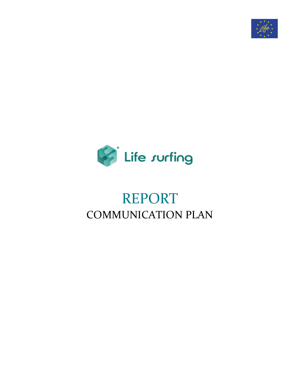



# REPORT COMMUNICATION PLAN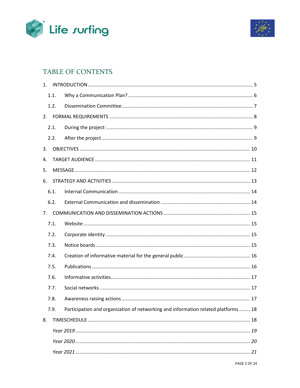



# TABLE OF CONTENTS

| 1. |      |                                                                                    |
|----|------|------------------------------------------------------------------------------------|
|    | 1.1. |                                                                                    |
|    | 1.2. |                                                                                    |
| 2. |      |                                                                                    |
|    | 2.1. |                                                                                    |
|    | 2.2. |                                                                                    |
| 3. |      |                                                                                    |
| 4. |      |                                                                                    |
| 5. |      |                                                                                    |
| 6. |      |                                                                                    |
|    | 6.1. |                                                                                    |
|    | 6.2. |                                                                                    |
| 7. |      |                                                                                    |
|    | 7.1. |                                                                                    |
|    | 7.2. |                                                                                    |
|    | 7.3. |                                                                                    |
|    | 7.4. |                                                                                    |
|    | 7.5. |                                                                                    |
|    | 7.6. |                                                                                    |
|    | 7.7. |                                                                                    |
|    | 7.8. |                                                                                    |
|    | 7.9. | Participation and organization of networking and information related platforms  18 |
| 8. |      |                                                                                    |
|    |      |                                                                                    |
|    |      |                                                                                    |
|    |      |                                                                                    |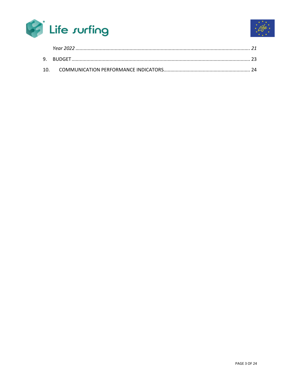

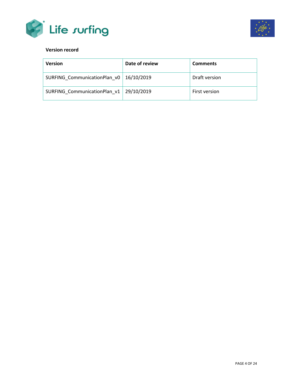



#### **Version record**

| <b>Version</b>               | Date of review | <b>Comments</b> |
|------------------------------|----------------|-----------------|
| SURFING CommunicationPlan v0 | 16/10/2019     | Draft version   |
| SURFING CommunicationPlan v1 | 29/10/2019     | First version   |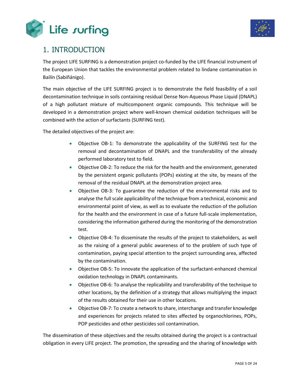



### <span id="page-4-0"></span>1. INTRODUCTION

The project LIFE SURFING is a demonstration project co-funded by the LIFE financial instrument of the European Union that tackles the environmental problem related to lindane contamination in Bailín (Sabiñánigo).

The main objective of the LIFE SURFING project is to demonstrate the field feasibility of a soil decontamination technique in soils containing residual Dense Non-Aqueous Phase Liquid (DNAPL) of a high pollutant mixture of multicomponent organic compounds. This technique will be developed in a demonstration project where well-known chemical oxidation techniques will be combined with the action of surfactants (SURFING test).

The detailed objectives of the project are:

- Objective OB-1: To demonstrate the applicability of the SURFING test for the removal and decontamination of DNAPL and the transferability of the already performed laboratory test to field.
- Objective OB-2: To reduce the risk for the health and the environment, generated by the persistent organic pollutants (POPs) existing at the site, by means of the removal of the residual DNAPL at the demonstration project area.
- Objective OB-3: To guarantee the reduction of the environmental risks and to analyse the full scale applicability of the technique from a technical, economic and environmental point of view, as well as to evaluate the reduction of the pollution for the health and the environment in case of a future full-scale implementation, considering the information gathered during the monitoring of the demonstration test.
- Objective OB-4: To disseminate the results of the project to stakeholders, as well as the raising of a general public awareness of to the problem of such type of contamination, paying special attention to the project surrounding area, affected by the contamination.
- Objective OB-5: To innovate the application of the surfactant-enhanced chemical oxidation technology in DNAPL contaminants.
- Objective OB-6: To analyse the replicability and transferability of the technique to other locations, by the definition of a strategy that allows multiplying the impact of the results obtained for their use in other locations.
- Objective OB-7: To create a network to share, interchange and transfer knowledge and experiences for projects related to sites affected by organochlorines, POPs, POP pesticides and other pesticides soil contamination.

The dissemination of these objectives and the results obtained during the project is a contractual obligation in every LIFE project. The promotion, the spreading and the sharing of knowledge with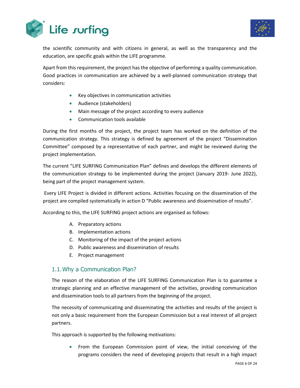



the scientific community and with citizens in general, as well as the transparency and the education, are specific goals within the LIFE programme.

Apart from this requirement, the project has the objective of performing a quality communication. Good practices in communication are achieved by a well-planned communication strategy that considers:

- Key objectives in communication activities
- Audience (stakeholders)
- Main message of the project according to every audience
- Communication tools available

During the first months of the project, the project team has worked on the definition of the communication strategy. This strategy is defined by agreement of the project "Dissemination Committee" composed by a representative of each partner, and might be reviewed during the project implementation.

The current "LIFE SURFING Communication Plan" defines and develops the different elements of the communication strategy to be implemented during the project (January 2019- June 2022), being part of the project management system.

Every LIFE Project is divided in different actions. Activities focusing on the dissemination of the project are compiled systematically in action D "Public awareness and dissemination of results".

According to this, the LIFE SURFING project actions are organised as follows:

- A. Preparatory actions
- B. Implementation actions
- C. Monitoring of the impact of the project actions
- D. Public awareness and dissemination of results
- E. Project management

#### <span id="page-5-0"></span>1.1.Why a Communication Plan?

The reason of the elaboration of the LIFE SURFING Communication Plan is to guarantee a strategic planning and an effective management of the activities, providing communication and dissemination tools to all partners from the beginning of the project.

The necessity of communicating and disseminating the activities and results of the project is not only a basic requirement from the European Commission but a real interest of all project partners.

This approach is supported by the following motivations:

• From the European Commission point of view, the initial conceiving of the programs considers the need of developing projects that result in a high impact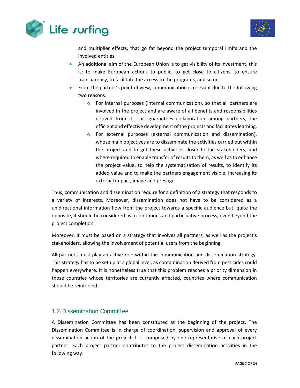



and multiplier effects, that go far beyond the project temporal limits and the involved entities.

- An additional aim of the European Union is to get visibility of its investment, this is: to make European actions to public, to get close to citizens, to ensure transparency, to facilitate the access to the programs, and so on.
- From the partner's point of view, communication is relevant due to the following two reasons:
	- o For internal purposes (internal communication), so that all partners are involved in the project and are aware of all benefits and responsibilities derived from it. This guarantees collaboration among partners, the efficient and effective development of the projects and facilitates learning.
	- o For external purposes (external communication and dissemination), whose main objectives are to disseminate the activities carried out within the project and to get these activities closer to the stakeholders, and where required to enable transfer of results to them, as well as to enhance the project value, to help the systematisation of results, to identify its added value and to make the partners engagement visible, increasing its external impact, image and prestige.

Thus, communication and dissemination require for a definition of a strategy that responds to a variety of interests. Moreover, dissemination does not have to be considered as a unidirectional information flow from the project towards a specific audience but, quite the opposite, it should be considered as a continuous and participative process, even beyond the project completion.

Moreover, it must be based on a strategy that involves all partners, as well as the project's stakeholders, allowing the involvement of potential users from the beginning.

All partners must play an active role within the communication and dissemination strategy. This strategy has to be set up at a global level, as contamination derived from pesticides could happen everywhere. It is nonetheless true that this problem reaches a priority dimension in those countries whose territories are currently affected, countries where communication should be reinforced.

### <span id="page-6-0"></span>1.2.Dissemination Committee

A Dissemination Committee has been constituted at the beginning of the project. The Dissemination Committee is in charge of coordination, supervision and approval of every dissemination action of the project. It is composed by one representative of each project partner. Each project partner contributes to the project dissemination activities in the following way: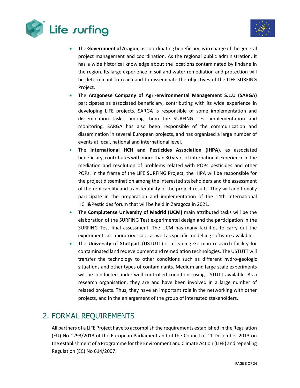



- The **Government of Aragon**, as coordinating beneficiary, is in charge of the general project management and coordination. As the regional public administration, it has a wide historical knowledge about the locations contaminated by lindane in the region. Its large experience in soil and water remediation and protection will be determinant to reach and to disseminate the objectives of the LIFE SURFING Project.
- The **Aragonese Company of Agri-environmental Management S.L.U (SARGA)** participates as associated beneficiary, contributing with its wide experience in developing LIFE projects. SARGA is responsible of some implementation and dissemination tasks, among them the SURFING Test implementation and monitoring. SARGA has also been responsible of the communication and dissemination in several European projects, and has organised a large number of events at local, national and international level.
- The **International HCH and Pesticides Association (IHPA)**, as associated beneficiary, contributes with more than 30 years of international experience in the mediation and resolution of problems related with POPs pesticides and other POPs. In the frame of the LIFE SURFING Project, the IHPA will be responsible for the project dissemination among the interested stakeholders and the assessment of the replicability and transferability of the project results. They will additionally participate in the preparation and implementation of the 14th International HCH&Pesticides forum that will be held in Zaragoza in 2021.
- The **Complutense University of Madrid (UCM)** main attributed tasks will be the elaboration of the SURFING Test experimental design and the participation in the SURFING Test final assessment. The UCM has many facilities to carry out the experiments at laboratory scale, as well as specific modelling software available.
- The **University of Stuttgart (USTUTT)** is a leading German research facility for contaminated land redevelopment and remediation technologies. The USTUTT will transfer the technology to other conditions such as different hydro-geologic situations and other types of contaminants. Medium and large scale experiments will be conducted under well controlled conditions using USTUTT available. As a research organisation, they are and have been involved in a large number of related projects. Thus, they have an important role in the networking with other projects, and in the enlargement of the group of interested stakeholders.

## <span id="page-7-0"></span>2. FORMAL REQUIREMENTS

All partners of a LIFE Project have to accomplish the requirements established in the Regulation (EU) No 1293/2013 of the European Parliament and of the Council of 11 December 2013 on the establishment of a Programme for the Environment and Climate Action (LIFE) and repealing Regulation (EC) No 614/2007.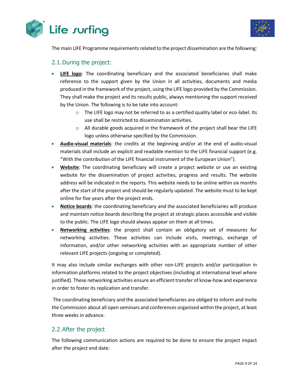



The main LIFE Programme requirements related to the project dissemination are the following:

#### <span id="page-8-0"></span>2.1.During the project:

- **LIFE logo**: The coordinating beneficiary and the associated beneficiaries shall make reference to the support given by the Union in all activities, documents and media produced in the framework of the project, using the LIFE logo provided by the Commission. They shall make the project and its results public, always mentioning the support received by the Union. The following is to be take into account:
	- o The LIFE logo may not be referred to as a certified quality label or eco-label. Its use shall be restricted to dissemination activities.
	- o All durable goods acquired in the framework of the project shall bear the LIFE logo unless otherwise specified by the Commission.
- **Audio-visual materials**: the credits at the beginning and/or at the end of audio-visual materials shall include an explicit and readable mention to the LIFE financial support (e.g. "With the contribution of the LIFE financial instrument of the European Union").
- **Website**: The coordinating beneficiary will create a project website or use an existing website for the dissemination of project activities, progress and results. The website address will be indicated in the reports. This website needs to be online within six months after the start of the project and should be regularly updated. The website must to be kept online for five years after the project ends.
- **Notice boards**: the coordinating beneficiary and the associated beneficiaries will produce and maintain notice boards describing the project at strategic places accessible and visible to the public. The LIFE logo should always appear on them at all times.
- **Networking activities**: the project shall contain an obligatory set of measures for networking activities. These activities can include visits, meetings, exchange of information, and/or other networking activities with an appropriate number of other relevant LIFE projects (ongoing or completed).

It may also include similar exchanges with other non-LIFE projects and/or participation in information platforms related to the project objectives (including at international level where justified). These networking activities ensure an efficient transfer of know-how and experience in order to foster its replication and transfer.

The coordinating beneficiary and the associated beneficiaries are obliged to inform and invite the Commission about all open seminars and conferences organised within the project, at least three weeks in advance.

### <span id="page-8-1"></span>2.2.After the project

The following communication actions are required to be done to ensure the project impact after the project end date: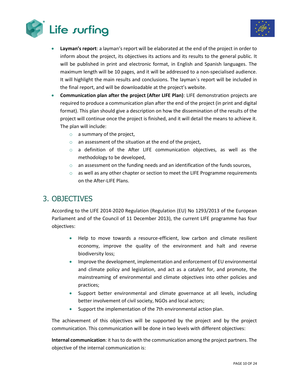



- **Layman's report**: a layman's report will be elaborated at the end of the project in order to inform about the project, its objectives its actions and its results to the general public. It will be published in print and electronic format, in English and Spanish languages. The maximum length will be 10 pages, and it will be addressed to a non-specialised audience. It will highlight the main results and conclusions. The layman`s report will be included in the final report, and will be downloadable at the project's website.
- **Communication plan after the project (After LIFE Plan)**: LIFE demonstration projects are required to produce a communication plan after the end of the project (in print and digital format). This plan should give a description on how the dissemination of the results of the project will continue once the project is finished, and it will detail the means to achieve it. The plan will include:
	- o a summary of the project,
	- o an assessment of the situation at the end of the project,
	- $\circ$  a definition of the After LIFE communication objectives, as well as the methodology to be developed,
	- $\circ$  an assessment on the funding needs and an identification of the funds sources,
	- $\circ$  as well as any other chapter or section to meet the LIFE Programme requirements on the After-LIFE Plans.

### <span id="page-9-0"></span>3. OBJECTIVES

According to the LIFE 2014-2020 Regulation (Regulation (EU) No 1293/2013 of the European Parliament and of the Council of 11 December 2013), the current LIFE programme has four objectives:

- Help to move towards a resource-efficient, low carbon and climate resilient economy, improve the quality of the environment and halt and reverse biodiversity loss;
- Improve the development, implementation and enforcement of EU environmental and climate policy and legislation, and act as a catalyst for, and promote, the mainstreaming of environmental and climate objectives into other policies and practices;
- Support better environmental and climate governance at all levels, including better involvement of civil society, NGOs and local actors;
- Support the implementation of the 7th environmental action plan.

The achievement of this objectives will be supported by the project and by the project communication. This communication will be done in two levels with different objectives:

**Internal communication**: it has to do with the communication among the project partners. The objective of the internal communication is: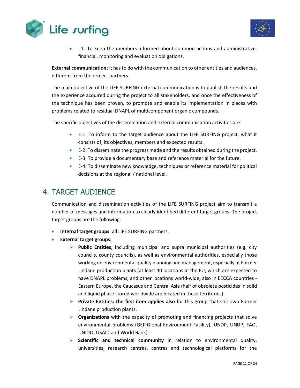



• I-1: To keep the members informed about common actions and administrative, financial, monitoring and evaluation obligations.

**External communication:** it has to do with the communication to other entities and audiences, different from the project partners.

The main objective of the LIFE SURFING external communication is to publish the results and the experience acquired during the project to all stakeholders, and once the effectiveness of the technique has been proven, to promote and enable its implementation in places with problems related to residual DNAPL of multicomponent organic compounds.

The specific objectives of the dissemination and external communication activities are:

- E-1: To inform to the target audience about the LIFE SURFING project, what it consists of, its objectives, members and expected results.
- E-2: To disseminate the progress made and the results obtained during the project.
- E-3: To provide a documentary base and reference material for the future.
- E-4: To disseminate new knowledge, techniques or reference material for political decisions at the regional / national level.

## <span id="page-10-0"></span>4. TARGET AUDIENCE

Communication and dissemination activities of the LIFE SURFING project aim to transmit a number of messages and information to clearly identified different target groups. The project target groups are the following:

- **Internal target groups**: all LIFE SURFING partners.
- **External target groups:**
	- ➢ **Public Entities**, including municipal and supra municipal authorities (e.g. city councils, county councils), as well as environmental authorities, especially those working on environmental quality planning and management, especially at Former Lindane production plants (at least 40 locations in the EU, which are expected to have DNAPL problems, and other locations world-wide, also in EECCA countries - Eastern Europe, the Caucasus and Central Asia (half of obsolete pesticides in solid and liquid phase stored worldwide are located in these territories).
	- ➢ **Private Entities: the first item applies also** for this group that still own Former Lindane production plants.
	- ➢ **Organizations** with the capacity of promoting and financing projects that solve environmental problems (GEF(Global Environment Facility), UNDP, UNDP, FAO, UNIDO, USAID and World Bank).
	- ➢ **Scientific and technical community** in relation to environmental quality: universities, research centres, centres and technological platforms for the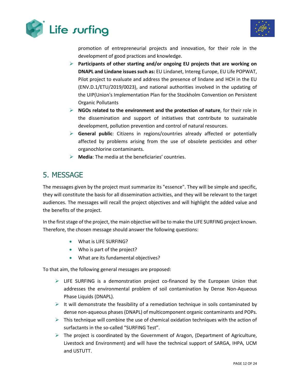



promotion of entrepreneurial projects and innovation, for their role in the development of good practices and knowledge.

- ➢ **Participants of other starting and/or ongoing EU projects that are working on DNAPL and Lindane issues such as:** EU Lindanet, Intereg Europe, EU Life POPWAT, Pilot project to evaluate and address the presence of lindane and HCH in the EU (ENV.D.1/ETU/2019/0023), and national authorities involved in the updating of the UIP(Union's Implementation Plan for the Stockholm Convention on Persistent Organic Pollutants
- ➢ **NGOs related to the environment and the protection of nature**, for their role in the dissemination and support of initiatives that contribute to sustainable development, pollution prevention and control of natural resources.
- ➢ **General public**: Citizens in regions/countries already affected or potentially affected by problems arising from the use of obsolete pesticides and other organochlorine contaminants.
- ➢ **Media**: The media at the beneficiaries' countries.

## <span id="page-11-0"></span>5. MESSAGE

The messages given by the project must summarize its "essence". They will be simple and specific, they will constitute the basis for all dissemination activities, and they will be relevant to the target audiences. The messages will recall the project objectives and will highlight the added value and the benefits of the project.

In the first stage of the project, the main objective will be to make the LIFE SURFING project known. Therefore, the chosen message should answer the following questions:

- What is LIFE SURFING?
- Who is part of the project?
- What are its fundamental objectives?

To that aim, the following general messages are proposed:

- $\triangleright$  LIFE SURFING is a demonstration project co-financed by the European Union that addresses the environmental problem of soil contamination by Dense Non-Aqueous Phase Liquids (DNAPL).
- $\triangleright$  It will demonstrate the feasibility of a remediation technique in soils contaminated by dense non-aqueous phases (DNAPL) of multicomponent organic contaminants and POPs.
- $\triangleright$  This technique will combine the use of chemical oxidation techniques with the action of surfactants in the so-called "SURFING Test".
- $\triangleright$  The project is coordinated by the Government of Aragon, (Department of Agriculture, Livestock and Environment) and will have the technical support of SARGA, IHPA, UCM and USTUTT.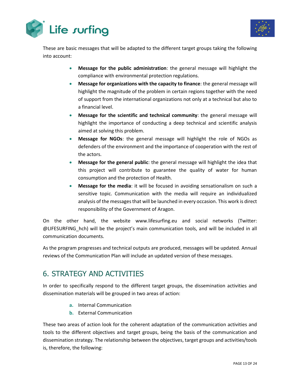



These are basic messages that will be adapted to the different target groups taking the following into account:

- **Message for the public administration**: the general message will highlight the compliance with environmental protection regulations.
- **Message for organizations with the capacity to finance**: the general message will highlight the magnitude of the problem in certain regions together with the need of support from the international organizations not only at a technical but also to a financial level.
- **Message for the scientific and technical community**: the general message will highlight the importance of conducting a deep technical and scientific analysis aimed at solving this problem.
- **Message for NGOs**: the general message will highlight the role of NGOs as defenders of the environment and the importance of cooperation with the rest of the actors.
- **Message for the general public**: the general message will highlight the idea that this project will contribute to guarantee the quality of water for human consumption and the protection of Health.
- **Message for the media**: it will be focused in avoiding sensationalism on such a sensitive topic. Communication with the media will require an individualized analysis of the messages that will be launched in every occasion. This work is direct responsibility of the Government of Aragon.

On the other hand, the website www.lifesurfing.eu and social networks (Twitter: @LIFESURFING\_hch) will be the project's main communication tools, and will be included in all communication documents.

As the program progresses and technical outputs are produced, messages will be updated. Annual reviews of the Communication Plan will include an updated version of these messages.

# <span id="page-12-0"></span>6. STRATEGY AND ACTIVITIES

In order to specifically respond to the different target groups, the dissemination activities and dissemination materials will be grouped in two areas of action:

- **a.** Internal Communication
- **b.** External Communication

These two areas of action look for the coherent adaptation of the communication activities and tools to the different objectives and target groups, being the basis of the communication and dissemination strategy. The relationship between the objectives, target groups and activities/tools is, therefore, the following: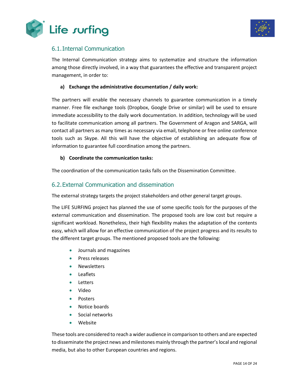



### <span id="page-13-0"></span>6.1.Internal Communication

The Internal Communication strategy aims to systematize and structure the information among those directly involved, in a way that guarantees the effective and transparent project management, in order to:

#### **a) Exchange the administrative documentation / daily work:**

The partners will enable the necessary channels to guarantee communication in a timely manner. Free file exchange tools (Dropbox, Google Drive or similar) will be used to ensure immediate accessibility to the daily work documentation. In addition, technology will be used to facilitate communication among all partners. The Government of Aragon and SARGA, will contact all partners as many times as necessary via email, telephone or free online conference tools such as Skype. All this will have the objective of establishing an adequate flow of information to guarantee full coordination among the partners.

#### **b) Coordinate the communication tasks:**

The coordination of the communication tasks falls on the Dissemination Committee.

#### <span id="page-13-1"></span>6.2.External Communication and dissemination

The external strategy targets the project stakeholders and other general target groups.

The LIFE SURFING project has planned the use of some specific tools for the purposes of the external communication and dissemination. The proposed tools are low cost but require a significant workload. Nonetheless, their high flexibility makes the adaptation of the contents easy, which will allow for an effective communication of the project progress and its results to the different target groups. The mentioned proposed tools are the following:

- Journals and magazines
- Press releases
- Newsletters
- Leaflets
- Letters
- Video
- Posters
- Notice boards
- Social networks
- Website

These tools are considered to reach a wider audience in comparison to others and are expected to disseminate the project news and milestones mainly through the partner's local and regional media, but also to other European countries and regions.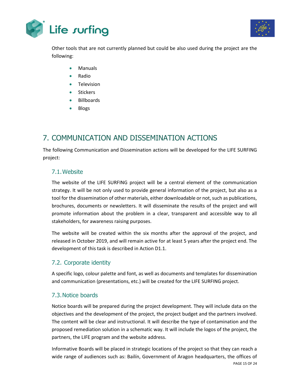



Other tools that are not currently planned but could be also used during the project are the following:

- Manuals
- Radio
- Television
- Stickers
- Billboards
- Blogs

# <span id="page-14-0"></span>7. COMMUNICATION AND DISSEMINATION ACTIONS

The following Communication and Dissemination actions will be developed for the LIFE SURFING project:

### <span id="page-14-1"></span>7.1.Website

The website of the LIFE SURFING project will be a central element of the communication strategy. It will be not only used to provide general information of the project, but also as a tool for the dissemination of other materials, either downloadable or not, such as publications, brochures, documents or newsletters. It will disseminate the results of the project and will promote information about the problem in a clear, transparent and accessible way to all stakeholders, for awareness raising purposes.

The website will be created within the six months after the approval of the project, and released in October 2019, and will remain active for at least 5 years after the project end. The development of this task is described in Action D1.1.

### <span id="page-14-2"></span>7.2. Corporate identity

A specific logo, colour palette and font, as well as documents and templates for dissemination and communication (presentations, etc.) will be created for the LIFE SURFING project.

### <span id="page-14-3"></span>7.3.Notice boards

Notice boards will be prepared during the project development. They will include data on the objectives and the development of the project, the project budget and the partners involved. The content will be clear and instructional. It will describe the type of contamination and the proposed remediation solution in a schematic way. It will include the logos of the project, the partners, the LIFE program and the website address.

PAGE 15 OF 24 Informative Boards will be placed in strategic locations of the project so that they can reach a wide range of audiences such as: Bailín, Government of Aragon headquarters, the offices of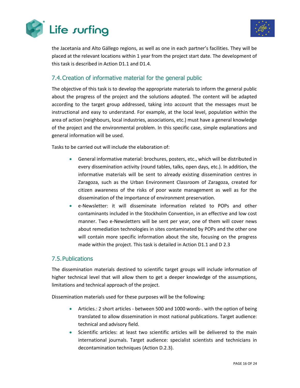



the Jacetania and Alto Gállego regions, as well as one in each partner's facilities. They will be placed at the relevant locations within 1 year from the project start date. The development of this task is described in Action D1.1 and D1.4.

### <span id="page-15-0"></span>7.4.Creation of informative material for the general public

The objective of this task is to develop the appropriate materials to inform the general public about the progress of the project and the solutions adopted. The content will be adapted according to the target group addressed, taking into account that the messages must be instructional and easy to understand. For example, at the local level, population within the area of action (neighbours, local industries, associations, etc.) must have a general knowledge of the project and the environmental problem. In this specific case, simple explanations and general information will be used.

Tasks to be carried out will include the elaboration of:

- General informative material: brochures, posters, etc., which will be distributed in every dissemination activity (round tables, talks, open days, etc.). In addition, the informative materials will be sent to already existing dissemination centres in Zaragoza, such as the Urban Environment Classroom of Zaragoza, created for citizen awareness of the risks of poor waste management as well as for the dissemination of the importance of environment preservation.
- e-Newsletter: it will disseminate information related to POPs and other contaminants included in the Stockholm Convention, in an effective and low cost manner. Two e-Newsletters will be sent per year, one of them will cover news about remediation technologies in sites contaminated by POPs and the other one will contain more specific information about the site, focusing on the progress made within the project. This task is detailed in Action D1.1 and D 2.3

### <span id="page-15-1"></span>7.5.Publications

The dissemination materials destined to scientific target groups will include information of higher technical level that will allow them to get a deeper knowledge of the assumptions, limitations and technical approach of the project.

Dissemination materials used for these purposes will be the following:

- Articles.: 2 short articles between 500 and 1000 words-. with the option of being translated to allow dissemination in most national publications. Target audience: technical and advisory field.
- Scientific articles: at least two scientific articles will be delivered to the main international journals. Target audience: specialist scientists and technicians in decontamination techniques (Action D.2.3).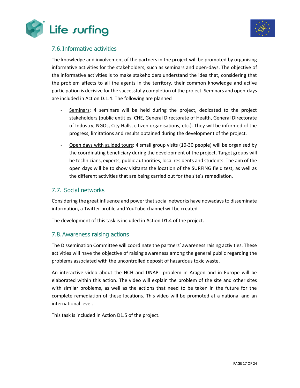



### <span id="page-16-0"></span>7.6.Informative activities

The knowledge and involvement of the partners in the project will be promoted by organising informative activities for the stakeholders, such as seminars and open-days. The objective of the informative activities is to make stakeholders understand the idea that, considering that the problem affects to all the agents in the territory, their common knowledge and active participation is decisive for the successfully completion of the project. Seminars and open-days are included in Action D.1.4. The following are planned

- Seminars: 4 seminars will be held during the project, dedicated to the project stakeholders (public entities, CHE, General Directorate of Health, General Directorate of Industry, NGOs, City Halls, citizen organisations, etc.). They will be informed of the progress, limitations and results obtained during the development of the project.
- Open days with guided tours: 4 small group visits (10-30 people) will be organised by the coordinating beneficiary during the development of the project. Target groups will be technicians, experts, public authorities, local residents and students. The aim of the open days will be to show visitants the location of the SURFING field test, as well as the different activities that are being carried out for the site's remediation.

### <span id="page-16-1"></span>7.7. Social networks

Considering the great influence and power that social networks have nowadays to disseminate information, a Twitter profile and YouTube channel will be created.

The development of this task is included in Action D1.4 of the project.

#### <span id="page-16-2"></span>7.8.Awareness raising actions

The Dissemination Committee will coordinate the partners' awareness raising activities. These activities will have the objective of raising awareness among the general public regarding the problems associated with the uncontrolled deposit of hazardous toxic waste.

An interactive video about the HCH and DNAPL problem in Aragon and in Europe will be elaborated within this action. The video will explain the problem of the site and other sites with similar problems, as well as the actions that need to be taken in the future for the complete remediation of these locations. This video will be promoted at a national and an international level.

This task is included in Action D1.5 of the project.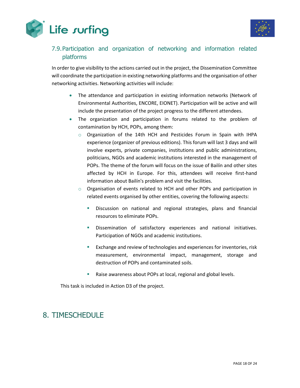



### <span id="page-17-0"></span>7.9.Participation and organization of networking and information related platforms

In order to give visibility to the actions carried out in the project, the Dissemination Committee will coordinate the participation in existing networking platforms and the organisation of other networking activities. Networking activities will include:

- The attendance and participation in existing information networks (Network of Environmental Authorities, ENCORE, EIONET). Participation will be active and will include the presentation of the project progress to the different attendees.
- The organization and participation in forums related to the problem of contamination by HCH, POPs, among them:
	- o Organization of the 14th HCH and Pesticides Forum in Spain with IHPA experience (organizer of previous editions). This forum will last 3 days and will involve experts, private companies, institutions and public administrations, politicians, NGOs and academic institutions interested in the management of POPs. The theme of the forum will focus on the issue of Bailín and other sites affected by HCH in Europe. For this, attendees will receive first-hand information about Bailín's problem and visit the facilities.
	- $\circ$  Organisation of events related to HCH and other POPs and participation in related events organised by other entities, covering the following aspects:
		- Discussion on national and regional strategies, plans and financial resources to eliminate POPs.
		- Dissemination of satisfactory experiences and national initiatives. Participation of NGOs and academic institutions.
		- Exchange and review of technologies and experiences for inventories, risk measurement, environmental impact, management, storage and destruction of POPs and contaminated soils.
		- Raise awareness about POPs at local, regional and global levels.

This task is included in Action D3 of the project.

## <span id="page-17-1"></span>8. TIMESCHEDULE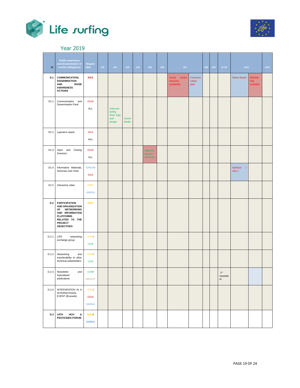



### Year 2019

<span id="page-18-0"></span>

| D.    | <b>Public awareness</b><br>and dissemination of<br>results (obligatory)                                                                                          | Respon<br>sible                             | m1 | m2                                               | m3              | m4 | m5                              | m6 | m7                                          |                           | m8 | m9 | m <sub>10</sub>                | m11                              |                               | m12 |
|-------|------------------------------------------------------------------------------------------------------------------------------------------------------------------|---------------------------------------------|----|--------------------------------------------------|-----------------|----|---------------------------------|----|---------------------------------------------|---------------------------|----|----|--------------------------------|----------------------------------|-------------------------------|-----|
| D.1   | <b>COMMUNICATION,</b><br><b>DISSEMINATION</b><br><b>AND</b><br><b>RAISE</b><br><b>AWARENESS</b><br><b>ACTIONS</b>                                                | <b>DGA</b>                                  |    |                                                  |                 |    |                                 |    | Social<br>media<br>networks<br>availability | Communi<br>cation<br>plan |    |    |                                | Notice Board                     | Website<br>fully<br>available |     |
| D1.1  | Communication and<br><b>Dissemination Pack</b>                                                                                                                   | <b>DGA/</b><br>ALL                          |    | Subcontr<br>acting<br>Web, logo<br>and<br>design | Social<br>Media |    |                                 |    |                                             |                           |    |    |                                |                                  |                               |     |
| D1.2  | Layman's report                                                                                                                                                  | <b>DGA</b><br>/ALL                          |    |                                                  |                 |    |                                 |    |                                             |                           |    |    |                                |                                  |                               |     |
| D1.3  | Open and Closing<br>Sessions                                                                                                                                     | <b>DGA/</b><br>ALL                          |    |                                                  |                 |    | Opening<br>session<br>(10/4/19) |    |                                             |                           |    |    |                                |                                  |                               |     |
| D1.4  | Informative Materials,<br>Seminars and Visits                                                                                                                    | <b>SARGA/</b><br><b>DGA</b>                 |    |                                                  |                 |    |                                 |    |                                             |                           |    |    |                                | Seminar<br>$\sqrt{2}$<br>visit 1 |                               |     |
| D1.5  | Interactive video                                                                                                                                                | <b>IHPA/</b><br><b>SARGA</b>                |    |                                                  |                 |    |                                 |    |                                             |                           |    |    |                                |                                  |                               |     |
| D.2   | <b>PARTICIPATION</b><br><b>AND ORGANIZATION</b><br>OF NETWORKING<br>AND INFORMATION<br><b>PLATFORMS</b><br>RELATED TO THE<br><b>PROJECT</b><br><b>OBJECTIVES</b> | <b>IHPA</b>                                 |    |                                                  |                 |    |                                 |    |                                             |                           |    |    |                                |                                  |                               |     |
| D.2.1 | LIFE<br>networking<br>exchange group                                                                                                                             | <b>IHPA/</b><br><b>UCM</b>                  |    |                                                  |                 |    |                                 |    |                                             |                           |    |    |                                |                                  |                               |     |
| D.2.2 | Networking<br>and<br>transferability to other<br>technical stakeholders.                                                                                         | <b>IHPA/</b><br><b>UCM</b>                  |    |                                                  |                 |    |                                 |    |                                             |                           |    |    |                                |                                  |                               |     |
|       | D.2.3 Newsletter<br>and<br>Specialized<br>publications                                                                                                           | UCM/<br><b>USTUTT</b>                       |    |                                                  |                 |    |                                 |    |                                             |                           |    |    | $1^{\rm st}$<br>newslett<br>er |                                  |                               |     |
| D.2.4 | INTERVENTION IN A<br><b>INTERNATIONAL</b><br>EVENT (Brussels)                                                                                                    | <b>IHPA/</b><br><b>DGA/</b><br><b>SARGA</b> |    |                                                  |                 |    |                                 |    |                                             |                           |    |    |                                |                                  |                               |     |
| D.3   | 14TH<br>HCH<br>&<br><b>PESTICIDES FORUM</b>                                                                                                                      | <b>IHPA/</b><br><b>SARGA</b>                |    |                                                  |                 |    |                                 |    |                                             |                           |    |    |                                |                                  |                               |     |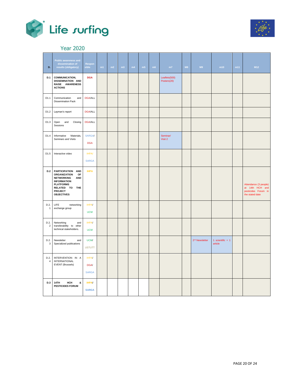



### Year 2020

<span id="page-19-0"></span>

| D.                     | <b>Public awareness and</b><br>dissemination of<br>results (obligatory)                                                                                                              | Respon<br>sible                      | m1 | m2 | m3 | m4 | m5 | m6 | m7                           | M8 | M9                         | m10                          | m11 | M12                                                                                |
|------------------------|--------------------------------------------------------------------------------------------------------------------------------------------------------------------------------------|--------------------------------------|----|----|----|----|----|----|------------------------------|----|----------------------------|------------------------------|-----|------------------------------------------------------------------------------------|
| <b>D.1</b>             | <b>COMMUNICATION,</b><br>DISSEMINATION AND<br>RAISE AWARENESS<br><b>ACTIONS</b>                                                                                                      | <b>DGA</b>                           |    |    |    |    |    |    | Leaflets(500)<br>Posters(20) |    |                            |                              |     |                                                                                    |
| D1.1                   | Communication<br>and<br><b>Dissemination Pack</b>                                                                                                                                    | <b>DGA/ALL</b>                       |    |    |    |    |    |    |                              |    |                            |                              |     |                                                                                    |
| D1.2                   | Layman's report                                                                                                                                                                      | <b>DGA/ALL</b>                       |    |    |    |    |    |    |                              |    |                            |                              |     |                                                                                    |
| D1.3                   | Open and<br>Closing<br>Sessions                                                                                                                                                      | <b>DGA/ALL</b>                       |    |    |    |    |    |    |                              |    |                            |                              |     |                                                                                    |
| D1.4                   | Informative<br>Materials,<br>Seminars and Visits                                                                                                                                     | <b>SARGA/</b><br><b>DGA</b>          |    |    |    |    |    |    | Seminar/<br>Visit 2          |    |                            |                              |     |                                                                                    |
| D1.5                   | Interactive video                                                                                                                                                                    | <b>IHPA/</b><br><b>SARGA</b>         |    |    |    |    |    |    |                              |    |                            |                              |     |                                                                                    |
| D.2                    | PARTICIPATION AND<br><b>ORGANIZATION</b><br>OF<br><b>NETWORKING</b><br><b>AND</b><br><b>INFORMATION</b><br><b>PLATFORMS</b><br>RELATED TO THE<br><b>PROJECT</b><br><b>OBJECTIVES</b> | <b>IHPA</b>                          |    |    |    |    |    |    |                              |    |                            |                              |     | Attendance (3 people)<br>at 14th HCH and<br>pesticides Forum in<br>the stated date |
| D.2.<br>$\mathbf{1}$   | LIFE<br>networking<br>exchange group                                                                                                                                                 | IHPA/<br><b>UCM</b>                  |    |    |    |    |    |    |                              |    |                            |                              |     |                                                                                    |
| D.2.<br>$\overline{c}$ | Networking<br>and<br>transferability to other<br>technical stakeholders.                                                                                                             | IHPA/<br><b>UCM</b>                  |    |    |    |    |    |    |                              |    |                            |                              |     |                                                                                    |
| D.2.<br>3              | Newsletter<br>and<br>Specialized publications                                                                                                                                        | UCM/<br><b>USTUTT</b>                |    |    |    |    |    |    |                              |    | 2 <sup>nd</sup> Newsletter | 1 scientific $+1$<br>article |     |                                                                                    |
| D.2.<br>4              | INTERVENTION IN A<br><b>INTERNATIONAL</b><br>EVENT (Brussels)                                                                                                                        | IHPA/<br><b>DGA/</b><br><b>SARGA</b> |    |    |    |    |    |    |                              |    |                            |                              |     |                                                                                    |
| D.3                    | 14TH<br>HCH<br>&<br><b>PESTICIDES FORUM</b>                                                                                                                                          | <b>IHPA/</b><br><b>SARGA</b>         |    |    |    |    |    |    |                              |    |                            |                              |     |                                                                                    |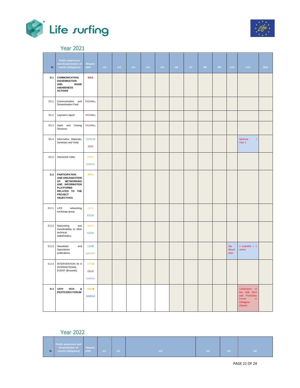



Year 2021

<span id="page-20-0"></span>

| D.    | <b>Public awareness</b><br>and dissemination of<br>results (obligatory)                                                                                                    | Respon<br>sible                             | m1 | m2 | m3 | m4 | m5 | m6 | m7 | M8 | M9 | m10                          | m11                                                                                     | M12 |
|-------|----------------------------------------------------------------------------------------------------------------------------------------------------------------------------|---------------------------------------------|----|----|----|----|----|----|----|----|----|------------------------------|-----------------------------------------------------------------------------------------|-----|
| D.1   | <b>COMMUNICATION,</b><br><b>DISSEMINATION</b><br><b>AND</b><br><b>RAISE</b><br><b>AWARENESS</b><br><b>ACTIONS</b>                                                          | <b>DGA</b>                                  |    |    |    |    |    |    |    |    |    |                              |                                                                                         |     |
| D1.1  | Communication and<br><b>Dissemination Pack</b>                                                                                                                             | <b>DGA/ALL</b>                              |    |    |    |    |    |    |    |    |    |                              |                                                                                         |     |
| D1.2  | Layman's report                                                                                                                                                            | <b>DGA/ALL</b>                              |    |    |    |    |    |    |    |    |    |                              |                                                                                         |     |
| D1.3  | Open and Closing<br>Sessions                                                                                                                                               | <b>DGA/ALL</b>                              |    |    |    |    |    |    |    |    |    |                              |                                                                                         |     |
| D1.4  | Informative Materials,<br>Seminars and Visits                                                                                                                              | <b>SARGA/</b><br><b>DGA</b>                 |    |    |    |    |    |    |    |    |    |                              | Seminar<br>$\sqrt{ }$<br>Visit 3                                                        |     |
| D1.5  | Interactive video                                                                                                                                                          | <b>IHPA/</b><br><b>SARGA</b>                |    |    |    |    |    |    |    |    |    |                              |                                                                                         |     |
| D.2   | <b>PARTICIPATION</b><br><b>AND ORGANIZATION</b><br><b>NETWORKING</b><br>OF<br>AND INFORMATION<br><b>PLATFORMS</b><br>RELATED TO THE<br><b>PROJECT</b><br><b>OBJECTIVES</b> | <b>IHPA</b>                                 |    |    |    |    |    |    |    |    |    |                              |                                                                                         |     |
| D.2.1 | LIFE<br>networking<br>exchange group                                                                                                                                       | <b>IHPA</b><br>/UCM                         |    |    |    |    |    |    |    |    |    |                              |                                                                                         |     |
| D.2.2 | Networking<br>and<br>transferability to other<br>technical<br>stakeholders.                                                                                                | <b>IHPA</b><br>/UCM                         |    |    |    |    |    |    |    |    |    |                              |                                                                                         |     |
| D.2.3 | Newsletter<br>and<br>Specialized<br>publications                                                                                                                           | <b>UCM/</b><br><b>USTUTT</b>                |    |    |    |    |    |    |    |    |    | 3er<br><b>Newsl</b><br>etter | 1 scientific $+1$<br>article                                                            |     |
| D.2.4 | INTERVENTION IN A<br><b>INTERNATIONAL</b><br>EVENT (Brussels)                                                                                                              | <b>IHPA/</b><br><b>DGA/</b><br><b>SARGA</b> |    |    |    |    |    |    |    |    |    |                              |                                                                                         |     |
| D.3   | 14TH<br>HCH<br>&<br><b>PESTICIDES FORUM</b>                                                                                                                                | <b>IHPA/</b><br><b>SARGA</b>                |    |    |    |    |    |    |    |    |    |                              | Celebration of<br>the 15th HCH<br>and Pesticides<br>Forum<br>in.<br>Zaragoza<br>(Spain) |     |

Year 2022

<span id="page-20-1"></span>

| D. | Public awareness and<br>dissemination of<br>results (obligatory) | <b>Respon</b><br>$\parallel$ sible | m1 | m2 | m3 | m4 | m <sub>5</sub> | m6 |
|----|------------------------------------------------------------------|------------------------------------|----|----|----|----|----------------|----|
|----|------------------------------------------------------------------|------------------------------------|----|----|----|----|----------------|----|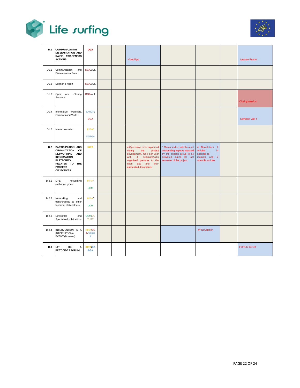



| D.1        | COMMUNICATION,<br><b>DISSEMINATION AND</b><br>RAISE AWARENESS<br><b>ACTIONS</b>                                                                                                      | <b>DGA</b>                           |  | Video/App                                                                                                                                                                                 |                                                                                                                                                  |                                                                                                    | Layman Report          |
|------------|--------------------------------------------------------------------------------------------------------------------------------------------------------------------------------------|--------------------------------------|--|-------------------------------------------------------------------------------------------------------------------------------------------------------------------------------------------|--------------------------------------------------------------------------------------------------------------------------------------------------|----------------------------------------------------------------------------------------------------|------------------------|
| D1.1       | Communication<br>and<br><b>Dissemination Pack</b>                                                                                                                                    | <b>DGA/ALL</b>                       |  |                                                                                                                                                                                           |                                                                                                                                                  |                                                                                                    |                        |
| D1.2       | Layman's report                                                                                                                                                                      | <b>DGA/ALL</b>                       |  |                                                                                                                                                                                           |                                                                                                                                                  |                                                                                                    |                        |
| D1.3       | Open and<br>Closing<br>Sessions                                                                                                                                                      | <b>DGA/ALL</b>                       |  |                                                                                                                                                                                           |                                                                                                                                                  |                                                                                                    | <b>Closing session</b> |
| D1.4       | Informative Materials,<br>Seminars and Visits                                                                                                                                        | <b>SARGA</b><br><b>DGA</b>           |  |                                                                                                                                                                                           |                                                                                                                                                  |                                                                                                    | Seminar/ Visit 4       |
| D1.5       | Interactive video                                                                                                                                                                    | <b>IHPA/</b><br><b>SARGA</b>         |  |                                                                                                                                                                                           |                                                                                                                                                  |                                                                                                    |                        |
| <b>D.2</b> | PARTICIPATION AND<br><b>ORGANIZATION</b><br>OF<br><b>NETWORKING</b><br><b>AND</b><br><b>INFORMATION</b><br><b>PLATFORMS</b><br>RELATED TO THE<br><b>PROJECT</b><br><b>OBJECTIVES</b> | <b>IHPA</b>                          |  | 4 Open-days to be organized<br>during<br>the<br>project<br>development. One per year<br>with 4 seminars/talks<br>organized previous to the<br>open day and their<br>associated documents. | 1 Memorandum with the most<br>outstanding aspects reached<br>by the experts group to be<br>delivered during the last<br>semester of the project. | 4 Newsletters, 2<br><b>Articles</b><br>in.<br>specialised<br>journals and 2<br>scientific articles |                        |
| D.2.1      | <b>LIFE</b><br>networking<br>exchange group                                                                                                                                          | <b>IHPA/</b><br><b>UCM</b>           |  |                                                                                                                                                                                           |                                                                                                                                                  |                                                                                                    |                        |
| D.2.2      | Networking<br>and<br>transferability to other<br>technical stakeholders.                                                                                                             | <b>IHPA/</b><br><b>UCM</b>           |  |                                                                                                                                                                                           |                                                                                                                                                  |                                                                                                    |                        |
| D.2.3      | Newsletter<br>and<br>Specialized publications                                                                                                                                        | UCM/US<br><b>TUTT</b>                |  |                                                                                                                                                                                           |                                                                                                                                                  |                                                                                                    |                        |
| D.2.4      | INTERVENTION IN A<br><b>INTERNATIONAL</b><br>EVENT (Brussels)                                                                                                                        | <b>IHPA/DG</b><br><b>A/SARG</b><br>A |  |                                                                                                                                                                                           |                                                                                                                                                  | 4 <sup>th</sup> Newsletter                                                                         |                        |
| D.3        | 14TH<br>HCH<br>&<br><b>PESTICIDES FORUM</b>                                                                                                                                          | <b>IHPA/SA</b><br><b>RGA</b>         |  |                                                                                                                                                                                           |                                                                                                                                                  |                                                                                                    | <b>FORUM BOOK</b>      |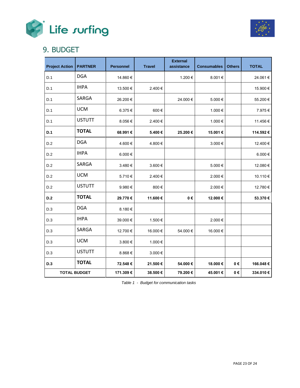



### <span id="page-22-0"></span>9. BUDGET

| <b>Project Action</b> | <b>PARTNER</b>      | <b>Personnel</b> | <b>Travel</b> | <b>External</b><br>assistance | <b>Consumables</b> | <b>Others</b>   | <b>TOTAL</b> |
|-----------------------|---------------------|------------------|---------------|-------------------------------|--------------------|-----------------|--------------|
| D.1                   | <b>DGA</b>          | 14.860 €         |               | 1.200€                        | 8.001€             |                 | 24.061€      |
| D.1                   | <b>IHPA</b>         | 13.500 €         | 2.400€        |                               |                    |                 | 15.900€      |
| D.1                   | SARGA               | 26.200€          |               | 24.000€                       | 5.000€             |                 | 55.200€      |
| D.1                   | <b>UCM</b>          | 6.375€           | 600€          |                               | 1.000€             |                 | 7.975€       |
| D.1                   | <b>USTUTT</b>       | 8.056€           | 2.400€        |                               | 1.000€             |                 | 11.456€      |
| D.1                   | <b>TOTAL</b>        | 68.991€          | 5.400€        | 25.200€                       | 15.001€            |                 | 114.592€     |
| D.2                   | <b>DGA</b>          | 4.600€           | 4.800€        |                               | 3.000€             |                 | 12.400 €     |
| D.2                   | <b>IHPA</b>         | 6.000€           |               |                               |                    |                 | 6.000€       |
| D.2                   | SARGA               | 3.480 €          | 3.600€        |                               | 5.000€             |                 | 12.080€      |
| D.2                   | <b>UCM</b>          | 5.710€           | 2.400€        |                               | 2.000€             |                 | 10.110 €     |
| D.2                   | <b>USTUTT</b>       | 9.980€           | 800€          |                               | 2.000€             |                 | 12.780 €     |
| D.2                   | <b>TOTAL</b>        | 29.770€          | 11.600€       | $0 \in$                       | 12.000€            |                 | 53.370€      |
| D.3                   | <b>DGA</b>          | 8.180€           |               |                               |                    |                 |              |
| D.3                   | <b>IHPA</b>         | 39.000 €         | 1.500€        |                               | 2.000€             |                 |              |
| D.3                   | SARGA               | 12.700 €         | 16.000 €      | 54.000€                       | 16.000€            |                 |              |
| D.3                   | <b>UCM</b>          | 3.800€           | 1.000€        |                               |                    |                 |              |
| D.3                   | <b>USTUTT</b>       | 8.868€           | 3.000€        |                               |                    |                 |              |
| D.3                   | <b>TOTAL</b>        | 72.548€          | 21.500€       | 54.000€                       | 18.000€            | $0 \in$         | 166.048€     |
|                       | <b>TOTAL BUDGET</b> | 171.309€         | 38.500€       | 79.200€                       | 45.001€            | $\mathbf{0}\in$ | 334.010 €    |

*Table 1 - Budget for communication tasks*